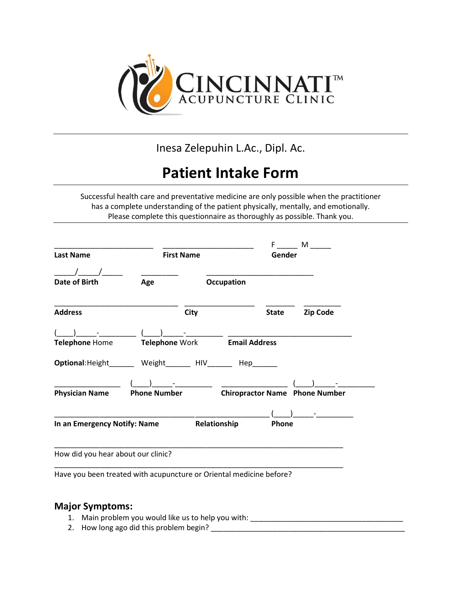

Inesa Zelepuhin L.Ac., Dipl. Ac.

# Patient Intake Form

Successful health care and preventative medicine are only possible when the practitioner has a complete understanding of the patient physically, mentally, and emotionally. Please complete this questionnaire as thoroughly as possible. Thank you.

| <b>Last Name</b>                                                    | <b>First Name</b>     |             |                      | Gender       | $F$ M                                 |  |
|---------------------------------------------------------------------|-----------------------|-------------|----------------------|--------------|---------------------------------------|--|
| Date of Birth                                                       | Age                   |             | Occupation           |              |                                       |  |
| <b>Address</b>                                                      |                       | <b>City</b> |                      | <b>State</b> | <b>Zip Code</b>                       |  |
|                                                                     |                       |             |                      |              |                                       |  |
| <b>Telephone Home</b>                                               | <b>Telephone Work</b> |             | <b>Email Address</b> |              |                                       |  |
| Optional: Height________ Weight________ HIV_______ Hep_____         |                       |             |                      |              |                                       |  |
| <b>Physician Name</b>                                               | <b>Phone Number</b>   |             |                      |              | <b>Chiropractor Name Phone Number</b> |  |
|                                                                     |                       |             |                      |              |                                       |  |
| In an Emergency Notify: Name                                        |                       |             | Relationship         | Phone        |                                       |  |
| How did you hear about our clinic?                                  |                       |             |                      |              |                                       |  |
| Have you been treated with acupuncture or Oriental medicine before? |                       |             |                      |              |                                       |  |

#### Major Symptoms:

- 1. Main problem you would like us to help you with: \_\_\_\_\_\_\_\_\_\_\_\_\_\_\_\_\_\_\_\_\_\_\_\_\_\_\_\_
- 2. How long ago did this problem begin? \_\_\_\_\_\_\_\_\_\_\_\_\_\_\_\_\_\_\_\_\_\_\_\_\_\_\_\_\_\_\_\_\_\_\_\_\_\_\_\_\_\_\_\_\_\_\_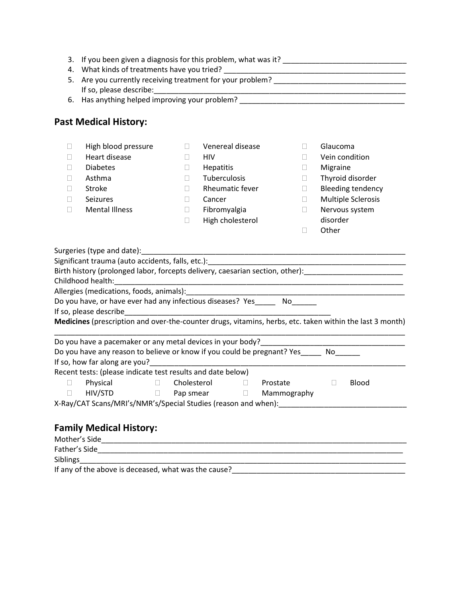|          | 4. What kinds of treatments have you tried?<br>5. Are you currently receiving treatment for your problem?   |        |                         |             |                          |  |
|----------|-------------------------------------------------------------------------------------------------------------|--------|-------------------------|-------------|--------------------------|--|
|          |                                                                                                             |        |                         |             |                          |  |
|          | If so, please describe:<br>6. Has anything helped improving your problem?<br><u>Canadian Communications</u> |        |                         |             |                          |  |
|          |                                                                                                             |        |                         |             |                          |  |
|          | <b>Past Medical History:</b>                                                                                |        |                         |             |                          |  |
|          |                                                                                                             |        |                         |             |                          |  |
| $\Box$   | High blood pressure                                                                                         | П.     | Venereal disease        | П.          | Glaucoma                 |  |
| $\Box$   | Heart disease                                                                                               | П.     | HIV                     | П           | Vein condition           |  |
| $\Box$   | <b>Diabetes</b>                                                                                             | 0      | Hepatitis               | $\Box$      | Migraine                 |  |
| П        | Asthma                                                                                                      | П.     | Tuberculosis            | $\Box$      | Thyroid disorder         |  |
| П        | Stroke                                                                                                      | П.     | Rheumatic fever         | $\Box$      | <b>Bleeding tendency</b> |  |
| $\Box$   | Seizures                                                                                                    | $\Box$ | Cancer                  | П.          | Multiple Sclerosis       |  |
| П        | <b>Mental Illness</b>                                                                                       | $\Box$ | Fibromyalgia            | $\Box$      | Nervous system           |  |
|          |                                                                                                             | 0      | High cholesterol        |             | disorder                 |  |
|          |                                                                                                             |        |                         |             |                          |  |
|          | Surgeries (type and date):                                                                                  |        |                         | $\Box$      | Other                    |  |
|          | Do you have, or have ever had any infectious diseases? Yes_______ No_______                                 |        |                         |             |                          |  |
|          | Medicines (prescription and over-the-counter drugs, vitamins, herbs, etc. taken within the last 3 month)    |        |                         |             |                          |  |
|          |                                                                                                             |        |                         |             |                          |  |
|          | Do you have any reason to believe or know if you could be pregnant? Yes No                                  |        |                         |             |                          |  |
|          | If so, how far along are you?                                                                               |        |                         |             |                          |  |
|          | Recent tests: (please indicate test results and date below)                                                 |        |                         |             |                          |  |
| П.<br>П. | Physical<br>$\Box$<br>$HIV/STD$ $\Box$                                                                      |        | Prostate<br>Pap smear D | Mammography | Blood<br>$\Box$          |  |

### Family Medical History:

| Mother's Side                                        |  |
|------------------------------------------------------|--|
| Father's Side                                        |  |
| <b>Siblings</b>                                      |  |
| If any of the above is deceased, what was the cause? |  |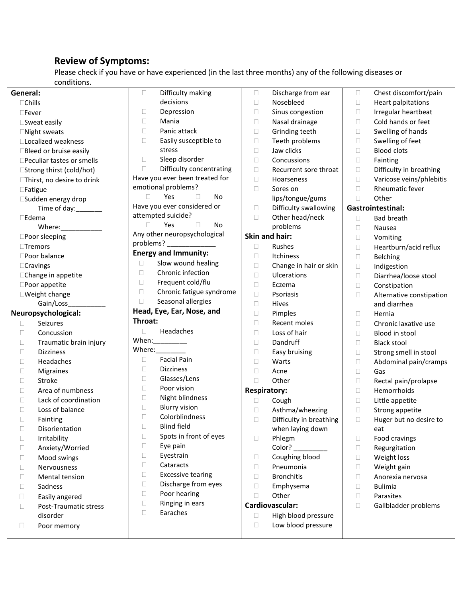### Review of Symptoms:

Please check if you have or have experienced (in the last three months) any of the following diseases or conditions.

| General:        |                             | $\Box$<br>Difficulty making        | $\Box$ | Discharge from ear      |        | Chest discomfort/pain    |
|-----------------|-----------------------------|------------------------------------|--------|-------------------------|--------|--------------------------|
| $\Box$ Chills   |                             | decisions                          |        | Nosebleed               | $\Box$ | Heart palpitations       |
| $\square$ Fever |                             | $\Box$<br>Depression               |        | Sinus congestion        | $\Box$ | Irregular heartbeat      |
|                 | □Sweat easily               | □<br>Mania                         |        | Nasal drainage          | □      | Cold hands or feet       |
|                 | □Night sweats               | Panic attack<br>$\Box$             |        | Grinding teeth          | □      | Swelling of hands        |
|                 | □Localized weakness         | $\Box$<br>Easily susceptible to    |        | Teeth problems          | $\Box$ | Swelling of feet         |
|                 | □Bleed or bruise easily     | stress                             | $\Box$ | Jaw clicks              | $\Box$ | <b>Blood clots</b>       |
|                 | □Peculiar tastes or smells  | Sleep disorder<br>$\Box$           | $\Box$ | Concussions             | $\Box$ | Fainting                 |
|                 | □Strong thirst (cold/hot)   | $\Box$<br>Difficulty concentrating | $\Box$ | Recurrent sore throat   | $\Box$ | Difficulty in breathing  |
|                 | □Thirst, no desire to drink | Have you ever been treated for     | $\Box$ | Hoarseness              | $\Box$ | Varicose veins/phlebitis |
|                 | □Fatigue                    | emotional problems?                | $\Box$ | Sores on                | □      | Rheumatic fever          |
|                 | □Sudden energy drop         | Yes<br>$\Box$<br>□<br>No           |        | lips/tongue/gums        | □      | Other                    |
|                 | Time of day:                | Have you ever considered or        | $\Box$ | Difficulty swallowing   |        | <b>Gastrointestinal:</b> |
| $\square$ Edema |                             | attempted suicide?                 | $\Box$ | Other head/neck         | $\Box$ | <b>Bad breath</b>        |
|                 | Where:__________            | Yes<br>$\Box$<br>$\Box$<br>No      |        | problems                | □      | Nausea                   |
|                 | □Poor sleeping              | Any other neuropsychological       |        | Skin and hair:          | $\Box$ | Vomiting                 |
|                 | $\Box$ Tremors              | problems? ______________           | $\Box$ | Rushes                  | $\Box$ | Heartburn/acid reflux    |
|                 | □Poor balance               | <b>Energy and Immunity:</b>        | $\Box$ | Itchiness               | $\Box$ | Belching                 |
|                 | □Cravings                   | Slow wound healing<br>0            | $\Box$ | Change in hair or skin  | $\Box$ | Indigestion              |
|                 | □Change in appetite         | $\Box$<br>Chronic infection        | $\Box$ | Ulcerations             | $\Box$ | Diarrhea/loose stool     |
|                 | □Poor appetite              | Frequent cold/flu<br>□             | $\Box$ | Eczema                  | $\Box$ | Constipation             |
|                 | □Weight change              | Chronic fatigue syndrome<br>$\Box$ | $\Box$ | Psoriasis               | $\Box$ | Alternative constipation |
|                 | Gain/Loss                   | $\Box$<br>Seasonal allergies       | $\Box$ | Hives                   |        | and diarrhea             |
|                 | Neuropsychological:         | Head, Eye, Ear, Nose, and          | $\Box$ | Pimples                 | □      | Hernia                   |
| $\Box$          | Seizures                    | Throat:                            | $\Box$ | Recent moles            | $\Box$ | Chronic laxative use     |
| $\Box$          | Concussion                  | $\Box$<br>Headaches                | $\Box$ | Loss of hair            | $\Box$ | Blood in stool           |
| О               | Traumatic brain injury      | When:_________                     | $\Box$ | Dandruff                | $\Box$ | <b>Black stool</b>       |
| $\Box$          | <b>Dizziness</b>            | Where: $\_$                        | $\Box$ | Easy bruising           | $\Box$ | Strong smell in stool    |
| $\Box$          | Headaches                   | <b>Facial Pain</b><br>□            | $\Box$ | Warts                   | $\Box$ | Abdominal pain/cramps    |
| $\Box$          | Migraines                   | <b>Dizziness</b><br>□              | $\Box$ | Acne                    | $\Box$ | Gas                      |
| $\Box$          | Stroke                      | $\Box$<br>Glasses/Lens             | $\Box$ | Other                   | $\Box$ | Rectal pain/prolapse     |
| $\Box$          | Area of numbness            | Poor vision<br>$\Box$              |        | <b>Respiratory:</b>     | $\Box$ | Hemorrhoids              |
| $\Box$          | Lack of coordination        | Night blindness<br>$\Box$          | $\Box$ | Cough                   | $\Box$ | Little appetite          |
| $\Box$          | Loss of balance             | $\Box$<br><b>Blurry vision</b>     | $\Box$ | Asthma/wheezing         | $\Box$ | Strong appetite          |
| $\Box$          | Fainting                    | $\Box$<br>Colorblindness           | $\Box$ | Difficulty in breathing | $\Box$ | Huger but no desire to   |
| □               | Disorientation              | <b>Blind field</b><br>Ш            |        | when laying down        |        | eat                      |
| $\Box$          | Irritability                | Spots in front of eyes<br>$\Box$   | □      | Phlegm                  | Ц      | Food cravings            |
| $\Box$          | Anxiety/Worried             | $\Box$<br>Eye pain                 |        | Color?                  | □      | Regurgitation            |
| □               | Mood swings                 | $\Box$<br>Eyestrain                | $\Box$ | Coughing blood          | $\Box$ | Weight loss              |
| □               | Nervousness                 | $\Box$<br>Cataracts                | $\Box$ | Pneumonia               | $\Box$ | Weight gain              |
| □               | Mental tension              | <b>Excessive tearing</b><br>$\Box$ | $\Box$ | <b>Bronchitis</b>       | □      | Anorexia nervosa         |
| $\Box$          | Sadness                     | $\Box$<br>Discharge from eyes      | $\Box$ | Emphysema               | □      | <b>Bulimia</b>           |
| $\Box$          | Easily angered              | Poor hearing<br>$\Box$             | П      | Other                   | $\Box$ | Parasites                |
|                 |                             |                                    |        |                         |        |                          |
| □               | Post-Traumatic stress       | $\Box$<br>Ringing in ears          |        | Cardiovascular:         | □      | Gallbladder problems     |
|                 | disorder                    | Earaches<br>$\Box$                 | □      | High blood pressure     |        |                          |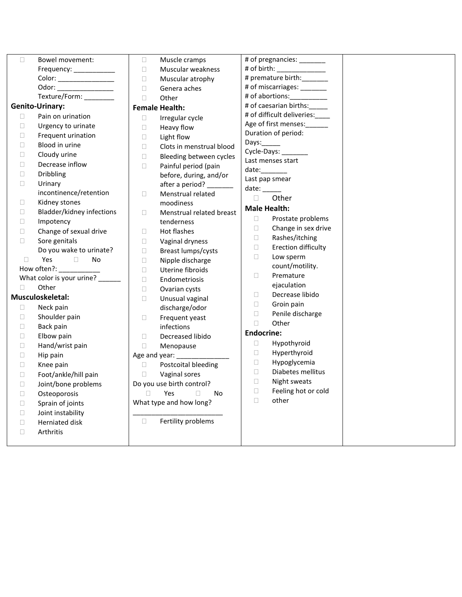| $\Box$ | Bowel movement:                                  | $\Box$ | Muscle cramps                     |                              | # of pregnancies: ________     |  |
|--------|--------------------------------------------------|--------|-----------------------------------|------------------------------|--------------------------------|--|
|        | Frequency: ____________                          | $\Box$ | Muscular weakness                 | # of birth: ________________ |                                |  |
|        | Color: _________________                         | $\Box$ | Muscular atrophy                  |                              | # premature birth:_______      |  |
|        | Odor: _________________                          | $\Box$ | Genera aches                      | # of miscarriages: _______   |                                |  |
|        | Texture/Form: ________                           | $\Box$ | Other                             |                              | # of abortions:__________      |  |
|        | <b>Genito-Urinary:</b>                           |        | <b>Female Health:</b>             |                              | # of caesarian births:         |  |
| $\Box$ | Pain on urination                                | $\Box$ | Irregular cycle                   |                              | # of difficult deliveries:____ |  |
| $\Box$ | Urgency to urinate                               | $\Box$ | Heavy flow                        |                              | Age of first menses:           |  |
| $\Box$ | Frequent urination                               | $\Box$ | Light flow                        |                              | Duration of period:            |  |
| $\Box$ | Blood in urine                                   | $\Box$ | Clots in menstrual blood          | Days: $\_\_\_\_\_\_\$        | Cycle-Days: ________           |  |
| $\Box$ | Cloudy urine                                     | $\Box$ | Bleeding between cycles           |                              | Last menses start              |  |
| $\Box$ | Decrease inflow                                  | $\Box$ | Painful period (pain              |                              | date:                          |  |
| $\Box$ | <b>Dribbling</b>                                 |        | before, during, and/or            |                              | Last pap smear                 |  |
| $\Box$ | Urinary                                          |        | after a period? ______            | $date:$ <sub>_______</sub>   |                                |  |
|        | incontinence/retention                           | $\Box$ | Menstrual related                 | $\Box$                       | Other                          |  |
| $\Box$ | Kidney stones                                    |        | moodiness                         |                              | <b>Male Health:</b>            |  |
| $\Box$ | Bladder/kidney infections                        | $\Box$ | Menstrual related breast          | $\Box$                       | Prostate problems              |  |
| $\Box$ | Impotency                                        |        | tenderness                        | $\Box$                       | Change in sex drive            |  |
| $\Box$ | Change of sexual drive                           | $\Box$ | Hot flashes                       | $\Box$                       | Rashes/itching                 |  |
| $\Box$ | Sore genitals                                    | $\Box$ | Vaginal dryness                   | $\Box$                       | Erection difficulty            |  |
|        | Do you wake to urinate?                          | $\Box$ | Breast lumps/cysts                | $\Box$                       | Low sperm                      |  |
| $\Box$ | Yes<br>$\Box$<br><b>No</b><br>How often?: ______ | $\Box$ | Nipple discharge                  |                              | count/motility.                |  |
|        | What color is your urine?                        | $\Box$ | Uterine fibroids                  | $\Box$                       | Premature                      |  |
| П.     | Other                                            | $\Box$ | Endometriosis                     |                              | ejaculation                    |  |
|        | Musculoskeletal:                                 | $\Box$ | Ovarian cysts                     | $\Box$                       | Decrease libido                |  |
| $\Box$ | Neck pain                                        | $\Box$ | Unusual vaginal<br>discharge/odor | $\Box$                       | Groin pain                     |  |
| $\Box$ | Shoulder pain                                    | $\Box$ | Frequent yeast                    | $\Box$                       | Penile discharge               |  |
| $\Box$ | Back pain                                        |        | infections                        | O.                           | Other                          |  |
| $\Box$ | Elbow pain                                       | $\Box$ | Decreased libido                  | <b>Endocrine:</b>            |                                |  |
| $\Box$ | Hand/wrist pain                                  | $\Box$ | Menopause                         | $\Box$                       | Hypothyroid                    |  |
| $\Box$ | Hip pain                                         |        | Age and year: _________           | $\Box$                       | Hyperthyroid                   |  |
| $\Box$ | Knee pain                                        | $\Box$ | Postcoital bleeding               | $\Box$                       | Hypoglycemia                   |  |
| $\Box$ | Foot/ankle/hill pain                             | $\Box$ | Vaginal sores                     | $\Box$                       | Diabetes mellitus              |  |
| $\Box$ | Joint/bone problems                              |        | Do you use birth control?         | $\Box$                       | Night sweats                   |  |
| $\Box$ | Osteoporosis                                     | $\Box$ | Yes<br>$\Box$<br><b>No</b>        | $\Box$                       | Feeling hot or cold            |  |
| $\Box$ | Sprain of joints                                 |        | What type and how long?           | $\Box$                       | other                          |  |
| $\Box$ | Joint instability                                |        |                                   |                              |                                |  |
| $\Box$ | Herniated disk                                   | $\Box$ | Fertility problems                |                              |                                |  |
| $\Box$ | Arthritis                                        |        |                                   |                              |                                |  |
|        |                                                  |        |                                   |                              |                                |  |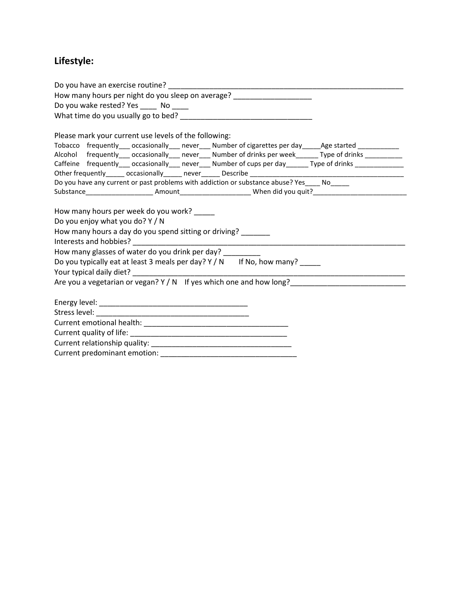## Lifestyle:

| How many hours per night do you sleep on average? ______________________                                                                                                                                           |
|--------------------------------------------------------------------------------------------------------------------------------------------------------------------------------------------------------------------|
| Do you wake rested? Yes ______ No _____                                                                                                                                                                            |
|                                                                                                                                                                                                                    |
| Please mark your current use levels of the following:                                                                                                                                                              |
|                                                                                                                                                                                                                    |
| Tobacco frequently___ occasionally___ never___ Number of cigarettes per day_____Age started __________<br>Alcohol frequently___ occasionally___ never___ Number of drinks per week______ Type of drinks __________ |
| Caffeine frequently___ occasionally___ never___ Number of cups per day______ Type of drinks _____________                                                                                                          |
|                                                                                                                                                                                                                    |
| Do you have any current or past problems with addiction or substance abuse? Yes ____ No______                                                                                                                      |
| Substance__________________________Amount____________________________When did you quit?_____________________________                                                                                               |
|                                                                                                                                                                                                                    |
| How many hours per week do you work? _____                                                                                                                                                                         |
| Do you enjoy what you do? Y / N                                                                                                                                                                                    |
| How many hours a day do you spend sitting or driving?                                                                                                                                                              |
|                                                                                                                                                                                                                    |
| How many glasses of water do you drink per day? _________                                                                                                                                                          |
| Do you typically eat at least 3 meals per day? Y / N If No, how many?                                                                                                                                              |
|                                                                                                                                                                                                                    |
|                                                                                                                                                                                                                    |
|                                                                                                                                                                                                                    |
|                                                                                                                                                                                                                    |
|                                                                                                                                                                                                                    |
|                                                                                                                                                                                                                    |
|                                                                                                                                                                                                                    |
|                                                                                                                                                                                                                    |
|                                                                                                                                                                                                                    |